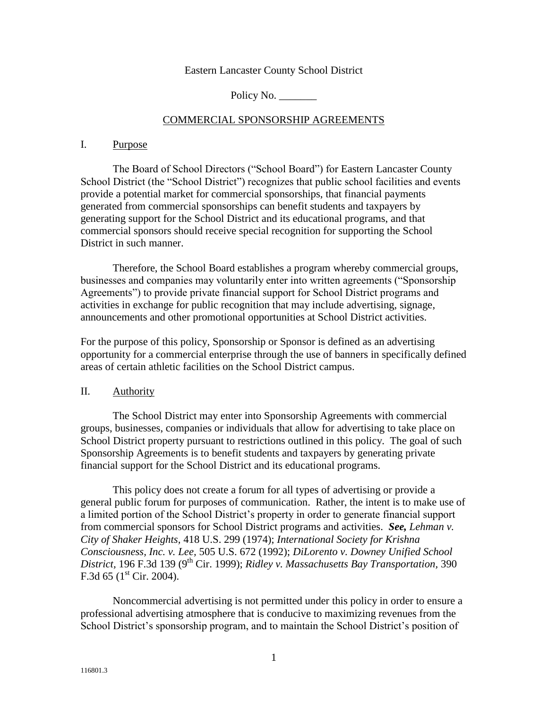#### Eastern Lancaster County School District

Policy No.

### COMMERCIAL SPONSORSHIP AGREEMENTS

#### I. Purpose

The Board of School Directors ("School Board") for Eastern Lancaster County School District (the "School District") recognizes that public school facilities and events provide a potential market for commercial sponsorships, that financial payments generated from commercial sponsorships can benefit students and taxpayers by generating support for the School District and its educational programs, and that commercial sponsors should receive special recognition for supporting the School District in such manner.

Therefore, the School Board establishes a program whereby commercial groups, businesses and companies may voluntarily enter into written agreements ("Sponsorship Agreements") to provide private financial support for School District programs and activities in exchange for public recognition that may include advertising, signage, announcements and other promotional opportunities at School District activities.

For the purpose of this policy, Sponsorship or Sponsor is defined as an advertising opportunity for a commercial enterprise through the use of banners in specifically defined areas of certain athletic facilities on the School District campus.

### II. Authority

The School District may enter into Sponsorship Agreements with commercial groups, businesses, companies or individuals that allow for advertising to take place on School District property pursuant to restrictions outlined in this policy. The goal of such Sponsorship Agreements is to benefit students and taxpayers by generating private financial support for the School District and its educational programs.

This policy does not create a forum for all types of advertising or provide a general public forum for purposes of communication. Rather, the intent is to make use of a limited portion of the School District's property in order to generate financial support from commercial sponsors for School District programs and activities. *See, Lehman v. City of Shaker Heights,* 418 U.S. 299 (1974); *International Society for Krishna Consciousness, Inc. v. Lee,* 505 U.S. 672 (1992); *DiLorento v. Downey Unified School*  District, 196 F.3d 139 (9<sup>th</sup> Cir. 1999); *Ridley v. Massachusetts Bay Transportation*, 390 F.3d 65 ( $1^{\text{st}}$  Cir. 2004).

Noncommercial advertising is not permitted under this policy in order to ensure a professional advertising atmosphere that is conducive to maximizing revenues from the School District's sponsorship program, and to maintain the School District's position of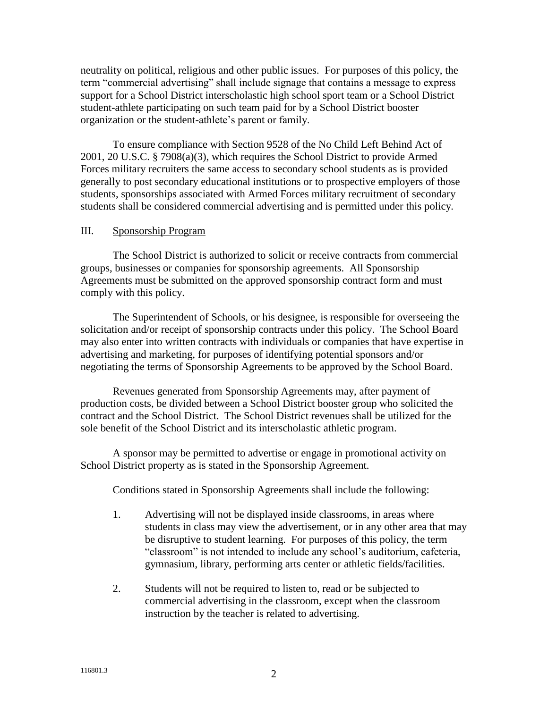neutrality on political, religious and other public issues. For purposes of this policy, the term "commercial advertising" shall include signage that contains a message to express support for a School District interscholastic high school sport team or a School District student-athlete participating on such team paid for by a School District booster organization or the student-athlete's parent or family.

To ensure compliance with Section 9528 of the No Child Left Behind Act of 2001, 20 U.S.C. § 7908(a)(3), which requires the School District to provide Armed Forces military recruiters the same access to secondary school students as is provided generally to post secondary educational institutions or to prospective employers of those students, sponsorships associated with Armed Forces military recruitment of secondary students shall be considered commercial advertising and is permitted under this policy.

## III. Sponsorship Program

The School District is authorized to solicit or receive contracts from commercial groups, businesses or companies for sponsorship agreements. All Sponsorship Agreements must be submitted on the approved sponsorship contract form and must comply with this policy.

The Superintendent of Schools, or his designee, is responsible for overseeing the solicitation and/or receipt of sponsorship contracts under this policy. The School Board may also enter into written contracts with individuals or companies that have expertise in advertising and marketing, for purposes of identifying potential sponsors and/or negotiating the terms of Sponsorship Agreements to be approved by the School Board.

Revenues generated from Sponsorship Agreements may, after payment of production costs, be divided between a School District booster group who solicited the contract and the School District. The School District revenues shall be utilized for the sole benefit of the School District and its interscholastic athletic program.

A sponsor may be permitted to advertise or engage in promotional activity on School District property as is stated in the Sponsorship Agreement.

Conditions stated in Sponsorship Agreements shall include the following:

- 1. Advertising will not be displayed inside classrooms, in areas where students in class may view the advertisement, or in any other area that may be disruptive to student learning. For purposes of this policy, the term "classroom" is not intended to include any school's auditorium, cafeteria, gymnasium, library, performing arts center or athletic fields/facilities.
- 2. Students will not be required to listen to, read or be subjected to commercial advertising in the classroom, except when the classroom instruction by the teacher is related to advertising.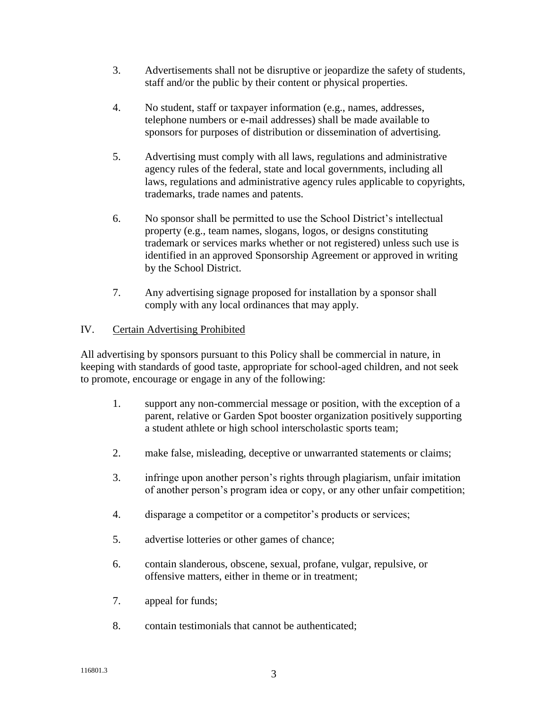- 3. Advertisements shall not be disruptive or jeopardize the safety of students, staff and/or the public by their content or physical properties.
- 4. No student, staff or taxpayer information (e.g., names, addresses, telephone numbers or e-mail addresses) shall be made available to sponsors for purposes of distribution or dissemination of advertising.
- 5. Advertising must comply with all laws, regulations and administrative agency rules of the federal, state and local governments, including all laws, regulations and administrative agency rules applicable to copyrights, trademarks, trade names and patents.
- 6. No sponsor shall be permitted to use the School District's intellectual property (e.g., team names, slogans, logos, or designs constituting trademark or services marks whether or not registered) unless such use is identified in an approved Sponsorship Agreement or approved in writing by the School District.
- 7. Any advertising signage proposed for installation by a sponsor shall comply with any local ordinances that may apply.

# IV. Certain Advertising Prohibited

All advertising by sponsors pursuant to this Policy shall be commercial in nature, in keeping with standards of good taste, appropriate for school-aged children, and not seek to promote, encourage or engage in any of the following:

- 1. support any non-commercial message or position, with the exception of a parent, relative or Garden Spot booster organization positively supporting a student athlete or high school interscholastic sports team;
- 2. make false, misleading, deceptive or unwarranted statements or claims;
- 3. infringe upon another person's rights through plagiarism, unfair imitation of another person's program idea or copy, or any other unfair competition;
- 4. disparage a competitor or a competitor's products or services;
- 5. advertise lotteries or other games of chance;
- 6. contain slanderous, obscene, sexual, profane, vulgar, repulsive, or offensive matters, either in theme or in treatment;
- 7. appeal for funds;
- 8. contain testimonials that cannot be authenticated;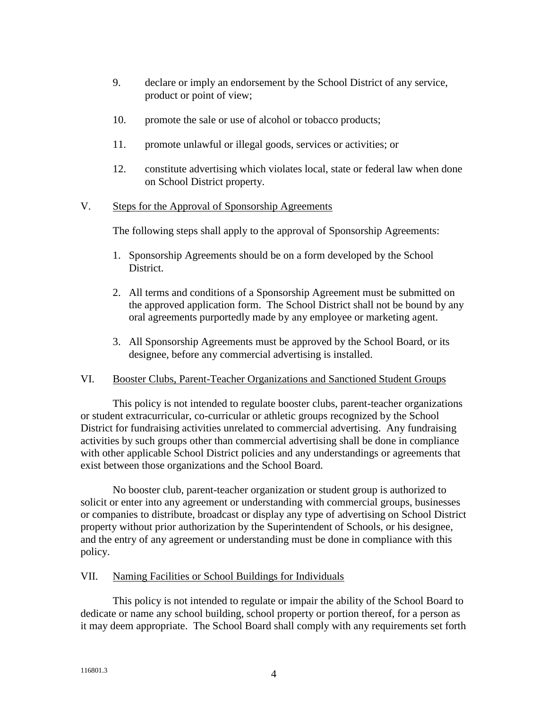- 9. declare or imply an endorsement by the School District of any service, product or point of view;
- 10. promote the sale or use of alcohol or tobacco products;
- 11. promote unlawful or illegal goods, services or activities; or
- 12. constitute advertising which violates local, state or federal law when done on School District property.

## V. Steps for the Approval of Sponsorship Agreements

The following steps shall apply to the approval of Sponsorship Agreements:

- 1. Sponsorship Agreements should be on a form developed by the School District.
- 2. All terms and conditions of a Sponsorship Agreement must be submitted on the approved application form. The School District shall not be bound by any oral agreements purportedly made by any employee or marketing agent.
- 3. All Sponsorship Agreements must be approved by the School Board, or its designee, before any commercial advertising is installed.

### VI. Booster Clubs, Parent-Teacher Organizations and Sanctioned Student Groups

This policy is not intended to regulate booster clubs, parent-teacher organizations or student extracurricular, co-curricular or athletic groups recognized by the School District for fundraising activities unrelated to commercial advertising. Any fundraising activities by such groups other than commercial advertising shall be done in compliance with other applicable School District policies and any understandings or agreements that exist between those organizations and the School Board.

No booster club, parent-teacher organization or student group is authorized to solicit or enter into any agreement or understanding with commercial groups, businesses or companies to distribute, broadcast or display any type of advertising on School District property without prior authorization by the Superintendent of Schools, or his designee, and the entry of any agreement or understanding must be done in compliance with this policy.

### VII. Naming Facilities or School Buildings for Individuals

This policy is not intended to regulate or impair the ability of the School Board to dedicate or name any school building, school property or portion thereof, for a person as it may deem appropriate. The School Board shall comply with any requirements set forth